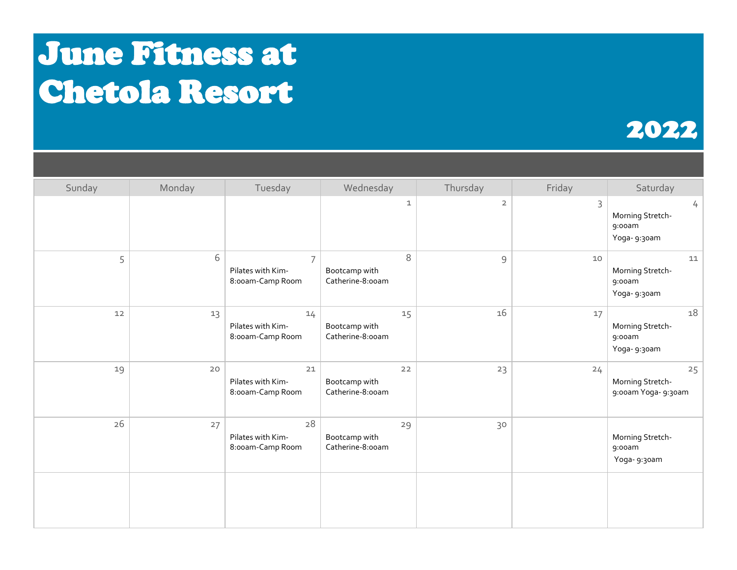## June Fitness at Chetola Resort

## 2022

| Sunday | Monday | Tuesday                                                 | Wednesday                               | Thursday       | Friday | Saturday                                                    |
|--------|--------|---------------------------------------------------------|-----------------------------------------|----------------|--------|-------------------------------------------------------------|
|        |        |                                                         | 1                                       | $\overline{2}$ | 3      | $\frac{1}{2}$<br>Morning Stretch-<br>9:00am<br>Yoga- 9:30am |
| 5      | 6      | $\overline{7}$<br>Pilates with Kim-<br>8:00am-Camp Room | 8<br>Bootcamp with<br>Catherine-8:00am  | $\mathcal{G}$  | $10$   | 11<br>Morning Stretch-<br>9:00am<br>Yoga- 9:30am            |
| $12$   | 13     | 14<br>Pilates with Kim-<br>8:00am-Camp Room             | 15<br>Bootcamp with<br>Catherine-8:00am | 16             | 17     | 18<br>Morning Stretch-<br>9:00am<br>Yoga- 9:30am            |
| 19     | 20     | 21<br>Pilates with Kim-<br>8:00am-Camp Room             | 22<br>Bootcamp with<br>Catherine-8:00am | 23             | 24     | 25<br>Morning Stretch-<br>9:00am Yoga- 9:30am               |
| 26     | 27     | 28<br>Pilates with Kim-<br>8:00am-Camp Room             | 29<br>Bootcamp with<br>Catherine-8:00am | 30             |        | Morning Stretch-<br>9:00am<br>Yoga- 9:30am                  |
|        |        |                                                         |                                         |                |        |                                                             |